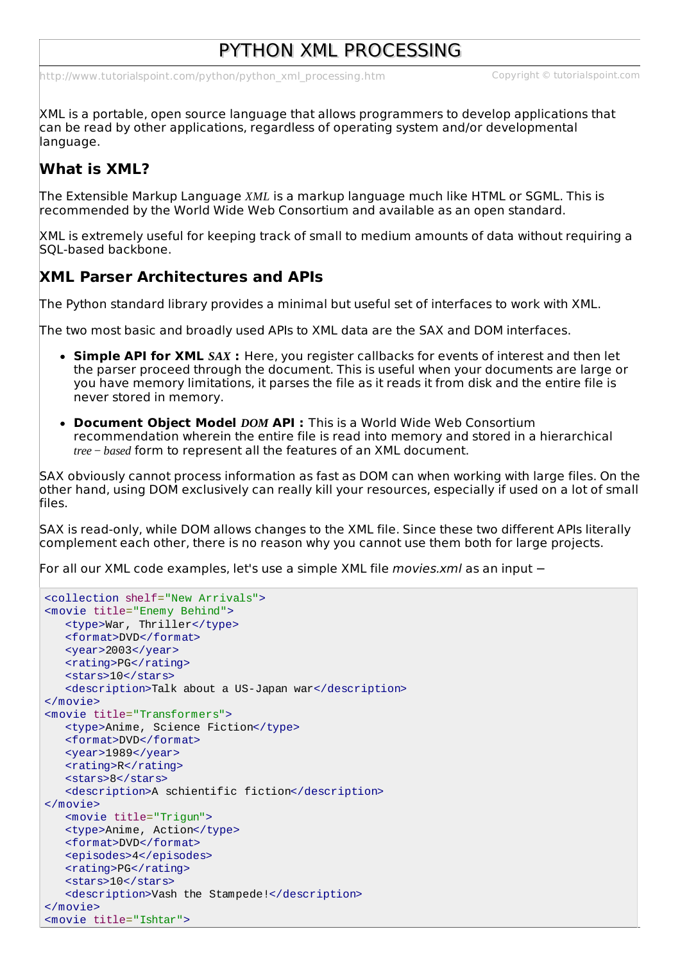# PYTHON XML PROCESSING

[http://www.tutorialspoint.com/python/python\\_xml\\_processing.htm](http://www.tutorialspoint.com/python/python_xml_processing.htm) Copyright © tutorialspoint.com

XML is a portable, open source language that allows programmers to develop applications that can be read by other applications, regardless of operating system and/or developmental language.

## **What is XML?**

The Extensible Markup Language *XML* is a markup language much like HTML or SGML. This is recommended by the World Wide Web Consortium and available as an open standard.

XML is extremely useful for keeping track of small to medium amounts of data without requiring a SQL-based backbone.

#### **XML Parser Architectures and APIs**

The Python standard library provides a minimal but useful set of interfaces to work with XML.

The two most basic and broadly used APIs to XML data are the SAX and DOM interfaces.

- **Simple API for XML** *SAX* **:** Here, you register callbacks for events of interest and then let the parser proceed through the document. This is useful when your documents are large or you have memory limitations, it parses the file as it reads it from disk and the entire file is never stored in memory.
- **Document Object Model** *DOM* **API :** This is a World Wide Web Consortium recommendation wherein the entire file is read into memory and stored in a hierarchical *tree* − *based* form to represent all the features of an XML document.

SAX obviously cannot process information as fast as DOM can when working with large files. On the other hand, using DOM exclusively can really kill your resources, especially if used on a lot of small files.

SAX is read-only, while DOM allows changes to the XML file. Since these two different APIs literally complement each other, there is no reason why you cannot use them both for large projects.

For all our XML code examples, let's use a simple XML file *movies.xml* as an input −

```
<collection shelf="New Arrivals">
<movie title="Enemy Behind">
   <type>War, Thriller</type>
   <format>DVD</format>
   <year>2003</year>
   <rating>PG</rating>
   <stars>10</stars>
   <description>Talk about a US-Japan war</description>
</movie>
<movie title="Transformers">
   <type>Anime, Science Fiction</type>
   <format>DVD</format>
   <year>1989</year>
   <rating>R</rating>
   <stars>8</stars>
   <description>A schientific fiction</description>
</movie>
   <movie title="Trigun">
   <type>Anime, Action</type>
   <format>DVD</format>
   <episodes>4</episodes>
   <rating>PG</rating>
   <stars>10</stars>
   <description>Vash the Stampede!</description>
</movie>
<movie title="Ishtar">
```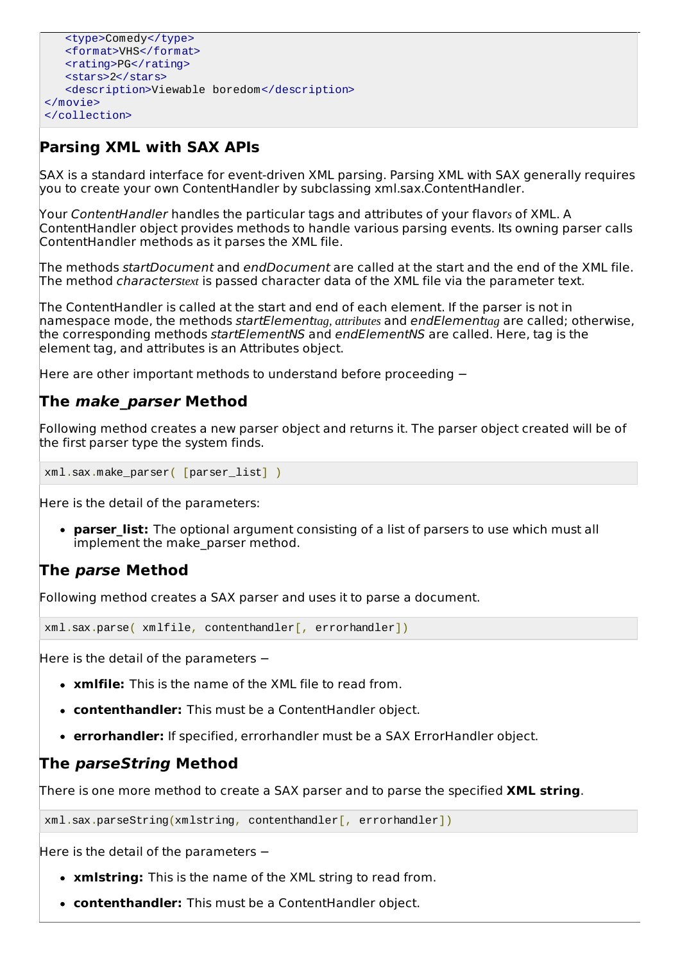```
<type>Comedy</type>
   <format>VHS</format>
   <rating>PG</rating>
   <stars>2</stars>
   <description>Viewable boredom</description>
</movie>
</collection>
```
## **Parsing XML with SAX APIs**

SAX is a standard interface for event-driven XML parsing. Parsing XML with SAX generally requires you to create your own ContentHandler by subclassing xml.sax.ContentHandler.

Your ContentHandler handles the particular tags and attributes of your flavor*s* of XML. A ContentHandler object provides methods to handle various parsing events. Its owning parser calls ContentHandler methods as it parses the XML file.

The methods startDocument and endDocument are called at the start and the end of the XML file. The method characters*text* is passed character data of the XML file via the parameter text.

The ContentHandler is called at the start and end of each element. If the parser is not in namespace mode, the methods startElement*tag, attributes* and endElement*tag* are called; otherwise, the corresponding methods startElementNS and endElementNS are called. Here, tag is the element tag, and attributes is an Attributes object.

Here are other important methods to understand before proceeding −

### **The make\_parser Method**

Following method creates a new parser object and returns it. The parser object created will be of the first parser type the system finds.

xml.sax.make\_parser( [parser\_list] )

Here is the detail of the parameters:

**parser list:** The optional argument consisting of a list of parsers to use which must all implement the make parser method.

#### **The parse Method**

Following method creates a SAX parser and uses it to parse a document.

xml.sax.parse( xmlfile, contenthandler[, errorhandler])

Here is the detail of the parameters −

- **xmlfile:** This is the name of the XML file to read from.
- **contenthandler:** This must be a ContentHandler object.
- **errorhandler:** If specified, errorhandler must be a SAX ErrorHandler object.

#### **The parseString Method**

There is one more method to create a SAX parser and to parse the specified **XML string**.

xml.sax.parseString(xmlstring, contenthandler[, errorhandler])

Here is the detail of the parameters −

- **xmlstring:** This is the name of the XML string to read from.
- **contenthandler:** This must be a ContentHandler object.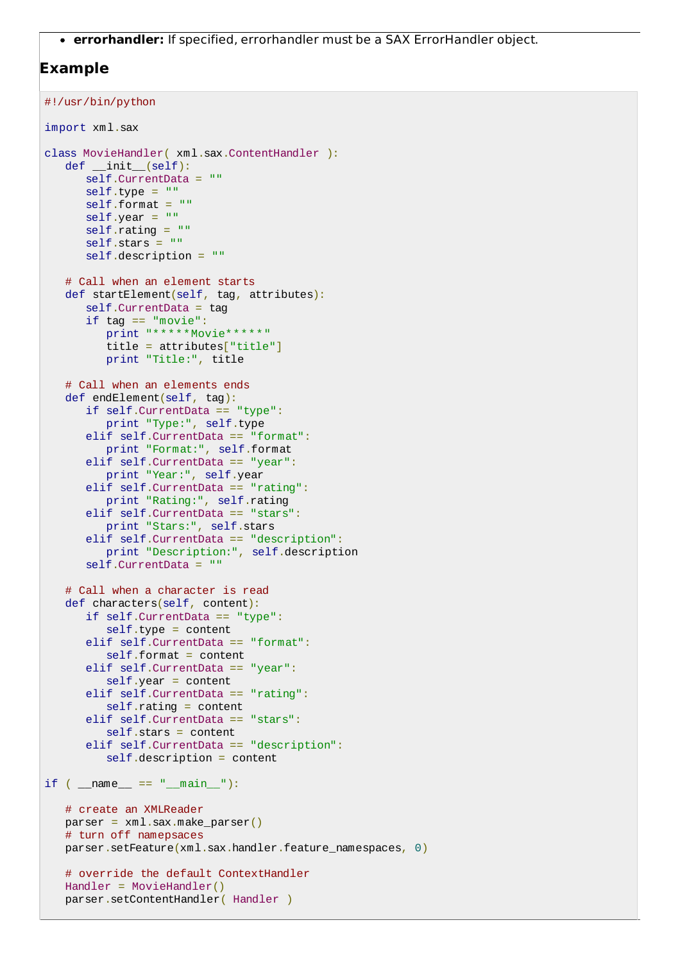**errorhandler:** If specified, errorhandler must be a SAX ErrorHandler object.

#### **Example**

```
#!/usr/bin/python
import xml.sax
class MovieHandler( xml.sax.ContentHandler ):
   def \_init\_\(self):self.CurrentData = ""
      self.\text{type} = "self.format = ""self.year = "self.rating = ""self. stars = 100self.description = ""
   # Call when an element starts
   def startElement(self, tag, attributes):
      self.CurrentData = tag
      if tag == "movie":
         print "*****Movie*****"
         title = attributes["title"]
         print "Title:", title
   # Call when an elements ends
   def endElement(self, tag):
      if self.CurrentData == "type":
         print "Type:", self.type
      elif self.CurrentData == "format":
         print "Format:", self.format
      elif self.CurrentData == "year":
         print "Year:", self.year
      elif self.CurrentData == "rating":
         print "Rating:", self.rating
      elif self.CurrentData == "stars":
         print "Stars:", self.stars
      elif self.CurrentData == "description":
         print "Description:", self.description
      self.CurrentData = ""
   # Call when a character is read
   def characters(self, content):
      if self.CurrentData == "type":
         self-type = contentelif self.CurrentData == "format":
         self.format = contentelif self.CurrentData == "year":
         self.year = content
      elif self.CurrentData == "rating":
         self.rating = contentelif self.CurrentData == "stars":
         self.stars = content
      elif self.CurrentData == "description":
         self.description = content
if ( __name__ == "__main__");# create an XMLReader
   parser = xml.sax.make_parser()
   # turn off namepsaces
   parser.setFeature(xml.sax.handler.feature_namespaces, 0)
   # override the default ContextHandler
   Handler = MovieHandler()
   parser.setContentHandler( Handler )
```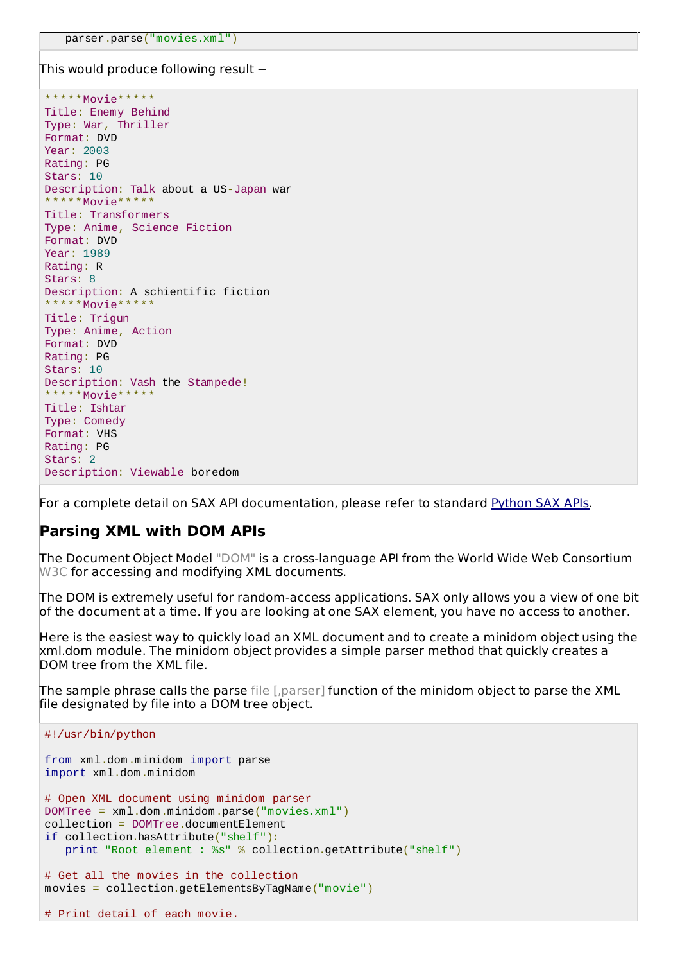This would produce following result −

\*\*\*\*\*Movie\*\*\*\*\* Title: Enemy Behind Type: War, Thriller Format: DVD Year: 2003 Rating: PG Stars: 10 Description: Talk about a US-Japan war \*\*\*\*\*Movie\* Title: Transformers Type: Anime, Science Fiction Format: DVD Year: 1989 Rating: R Stars: 8 Description: A schientific fiction \*\*\*\*\*Movie\* Title: Trigun Type: Anime, Action Format: DVD Rating: PG Stars: 10 Description: Vash the Stampede! \*\*\*\*\*\*Movie\* Title: Ishtar Type: Comedy Format: VHS Rating: PG Stars: 2 Description: Viewable boredom

For a complete detail on SAX API documentation, please refer to standard [Python](http://docs.python.org/library/xml.sax.html) SAX APIs.

#### **Parsing XML with DOM APIs**

The Document Object Model "DOM" is a cross-language API from the World Wide Web Consortium W3C for accessing and modifying XML documents.

The DOM is extremely useful for random-access applications. SAX only allows you a view of one bit of the document at a time. If you are looking at one SAX element, you have no access to another.

Here is the easiest way to quickly load an XML document and to create a minidom object using the xml.dom module. The minidom object provides a simple parser method that quickly creates a DOM tree from the XML file.

The sample phrase calls the parse file [,parser] function of the minidom object to parse the XML file designated by file into a DOM tree object.

```
#!/usr/bin/python
from xml.dom.minidom import parse
import xml.dom.minidom
# Open XML document using minidom parser
DOMTree = xml.dom.minidom.parse("movies.xml")
collection = DOMTree.documentElement
if collection.hasAttribute("shelf"):
   print "Root element : %s" % collection.getAttribute("shelf")
# Get all the movies in the collection
movies = collection.getElementsByTagName("movie")
# Print detail of each movie.
```